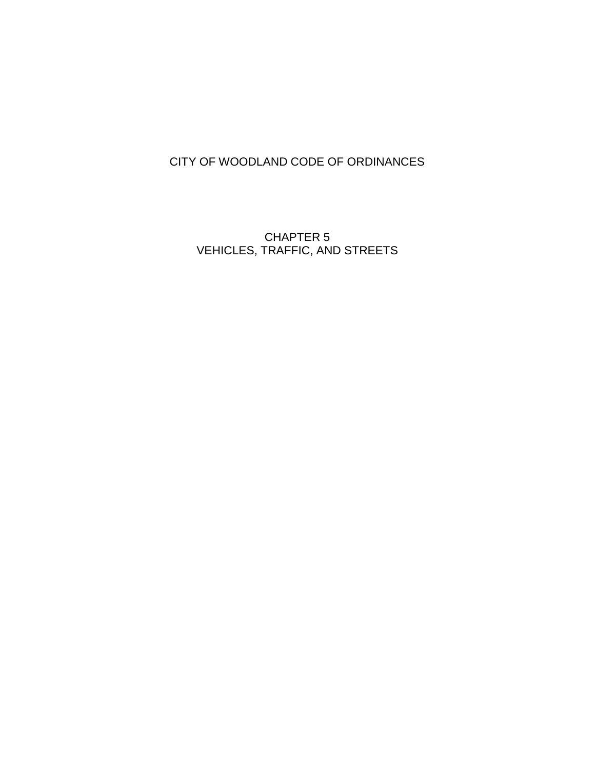# CITY OF WOODLAND CODE OF ORDINANCES

CHAPTER 5 VEHICLES, TRAFFIC, AND STREETS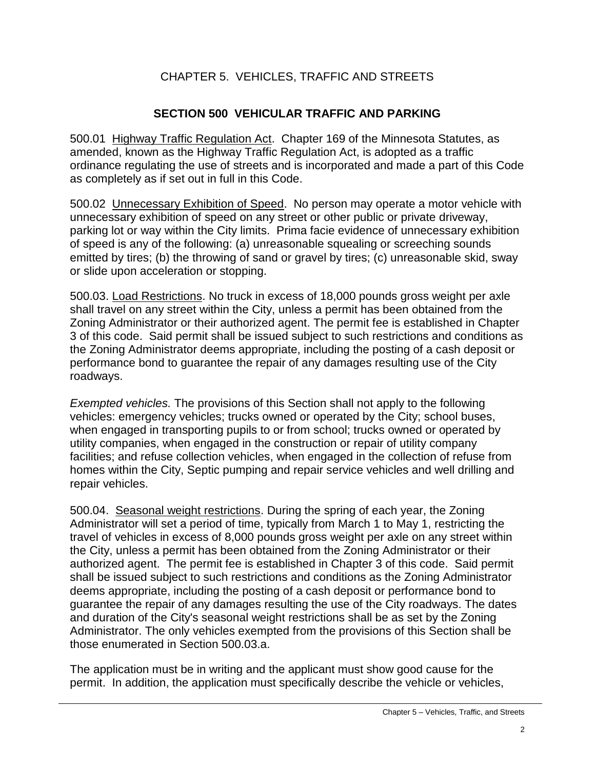## CHAPTER 5. VEHICLES, TRAFFIC AND STREETS

#### **SECTION 500 VEHICULAR TRAFFIC AND PARKING**

500.01 Highway Traffic Regulation Act. Chapter 169 of the Minnesota Statutes, as amended, known as the Highway Traffic Regulation Act, is adopted as a traffic ordinance regulating the use of streets and is incorporated and made a part of this Code as completely as if set out in full in this Code.

500.02 Unnecessary Exhibition of Speed. No person may operate a motor vehicle with unnecessary exhibition of speed on any street or other public or private driveway, parking lot or way within the City limits. Prima facie evidence of unnecessary exhibition of speed is any of the following: (a) unreasonable squealing or screeching sounds emitted by tires; (b) the throwing of sand or gravel by tires; (c) unreasonable skid, sway or slide upon acceleration or stopping.

500.03. Load Restrictions. No truck in excess of 18,000 pounds gross weight per axle shall travel on any street within the City, unless a permit has been obtained from the Zoning Administrator or their authorized agent. The permit fee is established in Chapter 3 of this code. Said permit shall be issued subject to such restrictions and conditions as the Zoning Administrator deems appropriate, including the posting of a cash deposit or performance bond to guarantee the repair of any damages resulting use of the City roadways.

*Exempted vehicles.* The provisions of this Section shall not apply to the following vehicles: emergency vehicles; trucks owned or operated by the City; school buses, when engaged in transporting pupils to or from school; trucks owned or operated by utility companies, when engaged in the construction or repair of utility company facilities; and refuse collection vehicles, when engaged in the collection of refuse from homes within the City, Septic pumping and repair service vehicles and well drilling and repair vehicles.

500.04. Seasonal weight restrictions. During the spring of each year, the Zoning Administrator will set a period of time, typically from March 1 to May 1, restricting the travel of vehicles in excess of 8,000 pounds gross weight per axle on any street within the City, unless a permit has been obtained from the Zoning Administrator or their authorized agent. The permit fee is established in Chapter 3 of this code. Said permit shall be issued subject to such restrictions and conditions as the Zoning Administrator deems appropriate, including the posting of a cash deposit or performance bond to guarantee the repair of any damages resulting the use of the City roadways. The dates and duration of the City's seasonal weight restrictions shall be as set by the Zoning Administrator. The only vehicles exempted from the provisions of this Section shall be those enumerated in Section 500.03.a.

The application must be in writing and the applicant must show good cause for the permit. In addition, the application must specifically describe the vehicle or vehicles,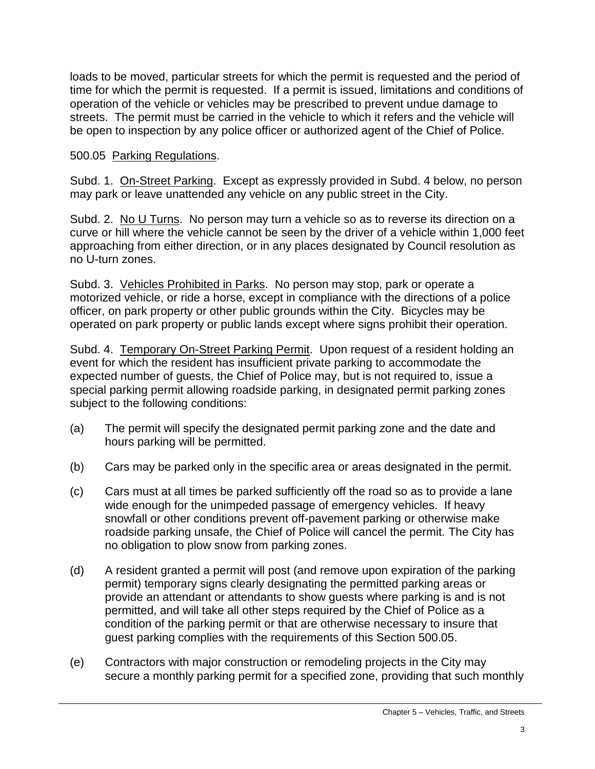loads to be moved, particular streets for which the permit is requested and the period of time for which the permit is requested. If a permit is issued, limitations and conditions of operation of the vehicle or vehicles may be prescribed to prevent undue damage to streets. The permit must be carried in the vehicle to which it refers and the vehicle will be open to inspection by any police officer or authorized agent of the Chief of Police.

#### 500.05 Parking Regulations.

Subd. 1. On-Street Parking. Except as expressly provided in Subd. 4 below, no person may park or leave unattended any vehicle on any public street in the City.

Subd. 2. No U Turns. No person may turn a vehicle so as to reverse its direction on a curve or hill where the vehicle cannot be seen by the driver of a vehicle within 1,000 feet approaching from either direction, or in any places designated by Council resolution as no U-turn zones.

Subd. 3. Vehicles Prohibited in Parks. No person may stop, park or operate a motorized vehicle, or ride a horse, except in compliance with the directions of a police officer, on park property or other public grounds within the City. Bicycles may be operated on park property or public lands except where signs prohibit their operation.

Subd. 4. Temporary On-Street Parking Permit. Upon request of a resident holding an event for which the resident has insufficient private parking to accommodate the expected number of guests, the Chief of Police may, but is not required to, issue a special parking permit allowing roadside parking, in designated permit parking zones subject to the following conditions:

- (a) The permit will specify the designated permit parking zone and the date and hours parking will be permitted.
- (b) Cars may be parked only in the specific area or areas designated in the permit.
- (c) Cars must at all times be parked sufficiently off the road so as to provide a lane wide enough for the unimpeded passage of emergency vehicles. If heavy snowfall or other conditions prevent off-pavement parking or otherwise make roadside parking unsafe, the Chief of Police will cancel the permit. The City has no obligation to plow snow from parking zones.
- (d) A resident granted a permit will post (and remove upon expiration of the parking permit) temporary signs clearly designating the permitted parking areas or provide an attendant or attendants to show guests where parking is and is not permitted, and will take all other steps required by the Chief of Police as a condition of the parking permit or that are otherwise necessary to insure that guest parking complies with the requirements of this Section 500.05.
- (e) Contractors with major construction or remodeling projects in the City may secure a monthly parking permit for a specified zone, providing that such monthly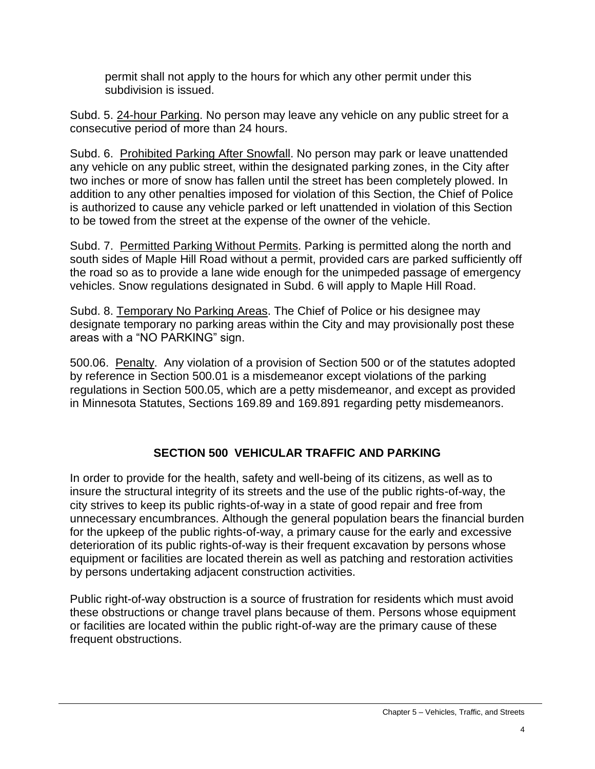permit shall not apply to the hours for which any other permit under this subdivision is issued.

Subd. 5. 24-hour Parking. No person may leave any vehicle on any public street for a consecutive period of more than 24 hours.

Subd. 6. Prohibited Parking After Snowfall. No person may park or leave unattended any vehicle on any public street, within the designated parking zones, in the City after two inches or more of snow has fallen until the street has been completely plowed. In addition to any other penalties imposed for violation of this Section, the Chief of Police is authorized to cause any vehicle parked or left unattended in violation of this Section to be towed from the street at the expense of the owner of the vehicle.

Subd. 7. Permitted Parking Without Permits. Parking is permitted along the north and south sides of Maple Hill Road without a permit, provided cars are parked sufficiently off the road so as to provide a lane wide enough for the unimpeded passage of emergency vehicles. Snow regulations designated in Subd. 6 will apply to Maple Hill Road.

Subd. 8. Temporary No Parking Areas. The Chief of Police or his designee may designate temporary no parking areas within the City and may provisionally post these areas with a "NO PARKING" sign.

500.06. Penalty. Any violation of a provision of Section 500 or of the statutes adopted by reference in Section 500.01 is a misdemeanor except violations of the parking regulations in Section 500.05, which are a petty misdemeanor, and except as provided in Minnesota Statutes, Sections 169.89 and 169.891 regarding petty misdemeanors.

# **SECTION 500 VEHICULAR TRAFFIC AND PARKING**

In order to provide for the health, safety and well-being of its citizens, as well as to insure the structural integrity of its streets and the use of the public rights-of-way, the city strives to keep its public rights-of-way in a state of good repair and free from unnecessary encumbrances. Although the general population bears the financial burden for the upkeep of the public rights-of-way, a primary cause for the early and excessive deterioration of its public rights-of-way is their frequent excavation by persons whose equipment or facilities are located therein as well as patching and restoration activities by persons undertaking adjacent construction activities.

Public right-of-way obstruction is a source of frustration for residents which must avoid these obstructions or change travel plans because of them. Persons whose equipment or facilities are located within the public right-of-way are the primary cause of these frequent obstructions.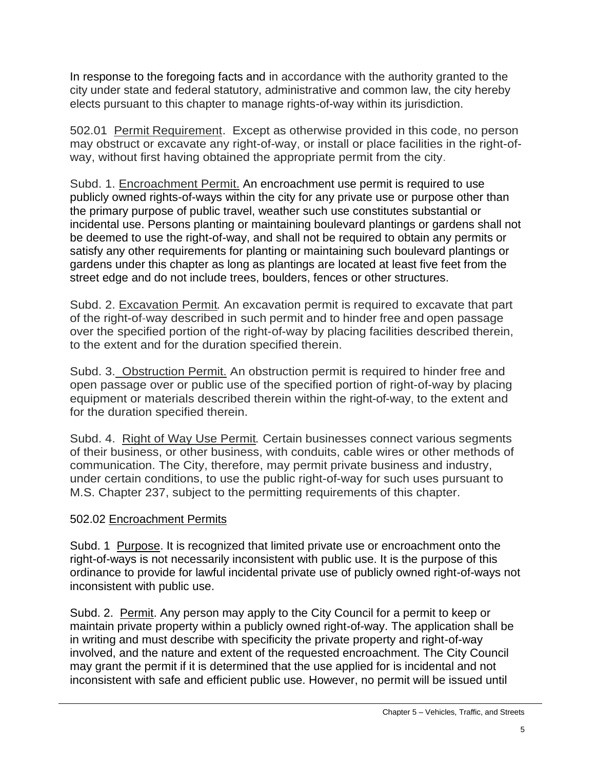In response to the foregoing facts and in accordance with the authority granted to the city under state and federal statutory, administrative and common law, the city hereby elects pursuant to this chapter to manage rights-of-way within its jurisdiction.

502.01 Permit Requirement. Except as otherwise provided in this code, no person may obstruct or excavate any right-of-way, or install or place facilities in the right-ofway, without first having obtained the appropriate permit from the city.

Subd. 1. Encroachment Permit. An encroachment use permit is required to use publicly owned rights-of-ways within the city for any private use or purpose other than the primary purpose of public travel, weather such use constitutes substantial or incidental use. Persons planting or maintaining boulevard plantings or gardens shall not be deemed to use the right-of-way, and shall not be required to obtain any permits or satisfy any other requirements for planting or maintaining such boulevard plantings or gardens under this chapter as long as plantings are located at least five feet from the street edge and do not include trees, boulders, fences or other structures.

Subd. 2. Excavation Permit*.* An excavation permit is required to excavate that part of the right-of-way described in such permit and to hinder free and open passage over the specified portion of the right-of-way by placing facilities described therein, to the extent and for the duration specified therein.

Subd. 3. Obstruction Permit. An obstruction permit is required to hinder free and open passage over or public use of the specified portion of right-of-way by placing equipment or materials described therein within the right-of-way, to the extent and for the duration specified therein.

Subd. 4. Right of Way Use Permit*.* Certain businesses connect various segments of their business, or other business, with conduits, cable wires or other methods of communication. The City, therefore, may permit private business and industry, under certain conditions, to use the public right-of-way for such uses pursuant to M.S. Chapter 237, subject to the permitting requirements of this chapter.

## 502.02 Encroachment Permits

Subd. 1 Purpose. It is recognized that limited private use or encroachment onto the right-of-ways is not necessarily inconsistent with public use. It is the purpose of this ordinance to provide for lawful incidental private use of publicly owned right-of-ways not inconsistent with public use.

Subd. 2. Permit. Any person may apply to the City Council for a permit to keep or maintain private property within a publicly owned right-of-way. The application shall be in writing and must describe with specificity the private property and right-of-way involved, and the nature and extent of the requested encroachment. The City Council may grant the permit if it is determined that the use applied for is incidental and not inconsistent with safe and efficient public use. However, no permit will be issued until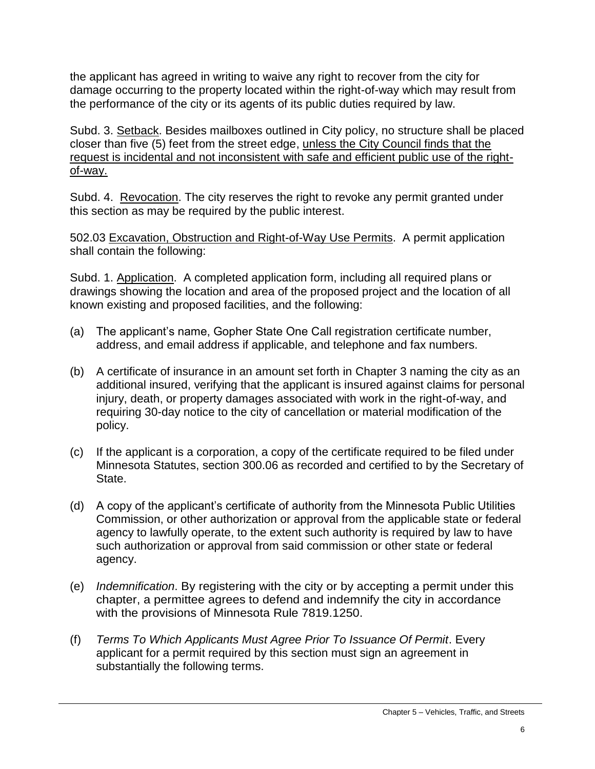the applicant has agreed in writing to waive any right to recover from the city for damage occurring to the property located within the right-of-way which may result from the performance of the city or its agents of its public duties required by law.

Subd. 3. Setback. Besides mailboxes outlined in City policy, no structure shall be placed closer than five (5) feet from the street edge, unless the City Council finds that the request is incidental and not inconsistent with safe and efficient public use of the rightof-way.

Subd. 4. Revocation. The city reserves the right to revoke any permit granted under this section as may be required by the public interest.

502.03 Excavation, Obstruction and Right-of-Way Use Permits. A permit application shall contain the following:

Subd. 1. Application. A completed application form, including all required plans or drawings showing the location and area of the proposed project and the location of all known existing and proposed facilities, and the following:

- (a) The applicant's name, Gopher State One Call registration certificate number, address, and email address if applicable, and telephone and fax numbers.
- (b) A certificate of insurance in an amount set forth in Chapter 3 naming the city as an additional insured, verifying that the applicant is insured against claims for personal injury, death, or property damages associated with work in the right-of-way, and requiring 30-day notice to the city of cancellation or material modification of the policy.
- (c) If the applicant is a corporation, a copy of the certificate required to be filed under Minnesota Statutes, section 300.06 as recorded and certified to by the Secretary of State.
- (d) A copy of the applicant's certificate of authority from the Minnesota Public Utilities Commission, or other authorization or approval from the applicable state or federal agency to lawfully operate, to the extent such authority is required by law to have such authorization or approval from said commission or other state or federal agency.
- (e) *Indemnification*. By registering with the city or by accepting a permit under this chapter, a permittee agrees to defend and indemnify the city in accordance with the provisions of Minnesota Rule 7819.1250.
- (f) *Terms To Which Applicants Must Agree Prior To Issuance Of Permit*. Every applicant for a permit required by this section must sign an agreement in substantially the following terms.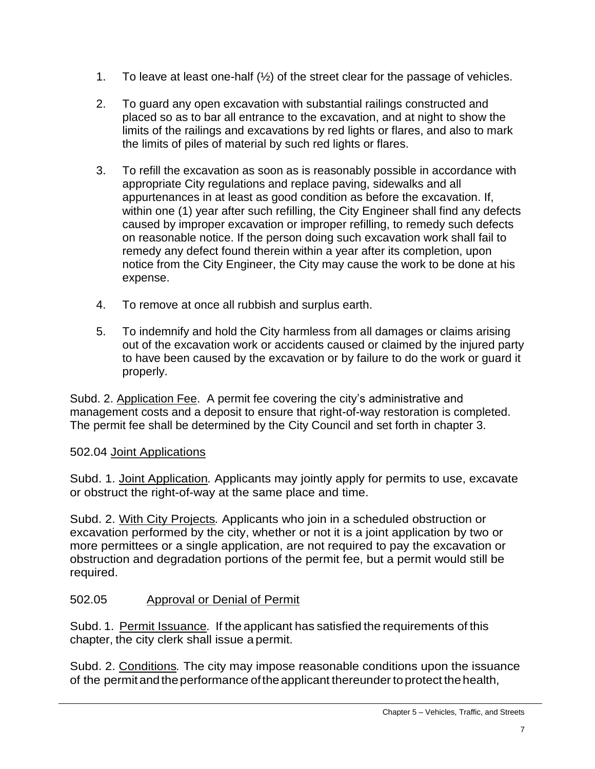- 1. To leave at least one-half (½) of the street clear for the passage of vehicles.
- 2. To guard any open excavation with substantial railings constructed and placed so as to bar all entrance to the excavation, and at night to show the limits of the railings and excavations by red lights or flares, and also to mark the limits of piles of material by such red lights or flares.
- 3. To refill the excavation as soon as is reasonably possible in accordance with appropriate City regulations and replace paving, sidewalks and all appurtenances in at least as good condition as before the excavation. If, within one (1) year after such refilling, the City Engineer shall find any defects caused by improper excavation or improper refilling, to remedy such defects on reasonable notice. If the person doing such excavation work shall fail to remedy any defect found therein within a year after its completion, upon notice from the City Engineer, the City may cause the work to be done at his expense.
- 4. To remove at once all rubbish and surplus earth.
- 5. To indemnify and hold the City harmless from all damages or claims arising out of the excavation work or accidents caused or claimed by the injured party to have been caused by the excavation or by failure to do the work or guard it properly.

Subd. 2. Application Fee. A permit fee covering the city's administrative and management costs and a deposit to ensure that right-of-way restoration is completed. The permit fee shall be determined by the City Council and set forth in chapter 3.

## 502.04 Joint Applications

Subd. 1. Joint Application*.* Applicants may jointly apply for permits to use, excavate or obstruct the right-of-way at the same place and time.

Subd. 2. With City Projects*.* Applicants who join in a scheduled obstruction or excavation performed by the city, whether or not it is a joint application by two or more permittees or a single application, are not required to pay the excavation or obstruction and degradation portions of the permit fee, but a permit would still be required.

## 502.05 Approval or Denial of Permit

Subd. 1. Permit Issuance*.* If the applicant has satisfied the requirements of this chapter, the city clerk shall issue a permit.

Subd. 2. Conditions*.* The city may impose reasonable conditions upon the issuance of the permit and the performance of the applicant thereunder to protect the health,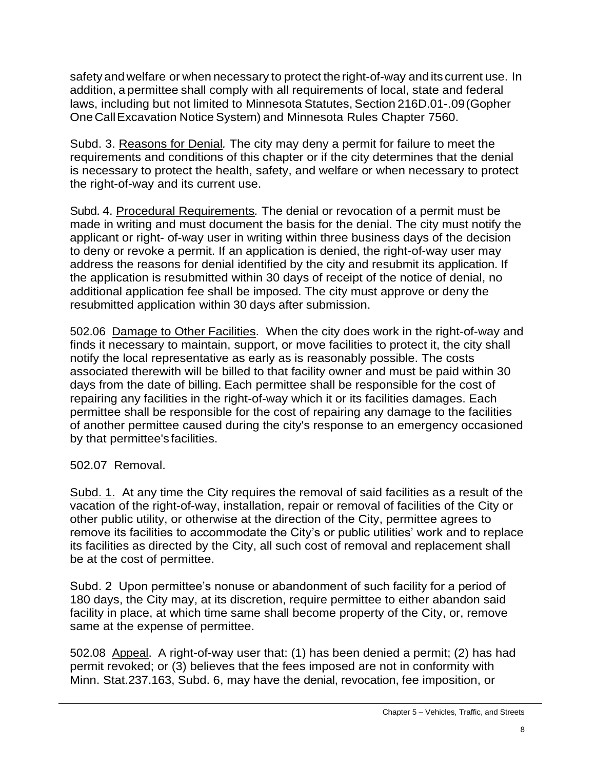safety and welfare or when necessary to protect the right-of-way and its current use. In addition, a permittee shall comply with all requirements of local, state and federal laws, including but not limited to Minnesota Statutes, Section 216D.01-.09(Gopher OneCallExcavation Notice System) and Minnesota Rules Chapter 7560.

Subd. 3. Reasons for Denial*.* The city may deny a permit for failure to meet the requirements and conditions of this chapter or if the city determines that the denial is necessary to protect the health, safety, and welfare or when necessary to protect the right-of-way and its current use.

Subd. 4. Procedural Requirements*.* The denial or revocation of a permit must be made in writing and must document the basis for the denial. The city must notify the applicant or right- of-way user in writing within three business days of the decision to deny or revoke a permit. If an application is denied, the right-of-way user may address the reasons for denial identified by the city and resubmit its application. If the application is resubmitted within 30 days of receipt of the notice of denial, no additional application fee shall be imposed. The city must approve or deny the resubmitted application within 30 days after submission.

502.06 Damage to Other Facilities. When the city does work in the right-of-way and finds it necessary to maintain, support, or move facilities to protect it, the city shall notify the local representative as early as is reasonably possible. The costs associated therewith will be billed to that facility owner and must be paid within 30 days from the date of billing. Each permittee shall be responsible for the cost of repairing any facilities in the right-of-way which it or its facilities damages. Each permittee shall be responsible for the cost of repairing any damage to the facilities of another permittee caused during the city's response to an emergency occasioned by that permittee's facilities.

502.07 Removal.

Subd. 1. At any time the City requires the removal of said facilities as a result of the vacation of the right-of-way, installation, repair or removal of facilities of the City or other public utility, or otherwise at the direction of the City, permittee agrees to remove its facilities to accommodate the City's or public utilities' work and to replace its facilities as directed by the City, all such cost of removal and replacement shall be at the cost of permittee.

Subd. 2 Upon permittee's nonuse or abandonment of such facility for a period of 180 days, the City may, at its discretion, require permittee to either abandon said facility in place, at which time same shall become property of the City, or, remove same at the expense of permittee.

502.08 Appeal. A right-of-way user that: (1) has been denied a permit; (2) has had permit revoked; or (3) believes that the fees imposed are not in conformity with Minn. Stat.237.163, Subd. 6, may have the denial, revocation, fee imposition, or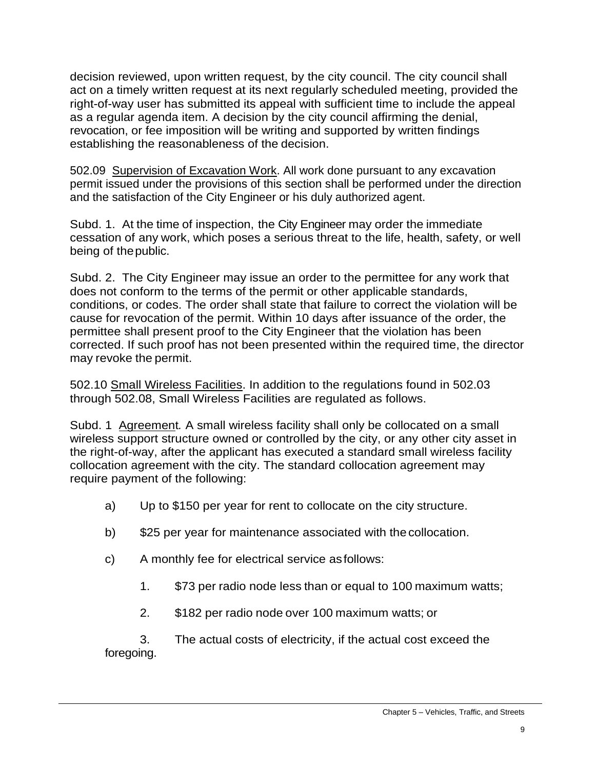decision reviewed, upon written request, by the city council. The city council shall act on a timely written request at its next regularly scheduled meeting, provided the right-of-way user has submitted its appeal with sufficient time to include the appeal as a regular agenda item. A decision by the city council affirming the denial, revocation, or fee imposition will be writing and supported by written findings establishing the reasonableness of the decision.

502.09 Supervision of Excavation Work. All work done pursuant to any excavation permit issued under the provisions of this section shall be performed under the direction and the satisfaction of the City Engineer or his duly authorized agent.

Subd. 1. At the time of inspection, the City Engineer may order the immediate cessation of any work, which poses a serious threat to the life, health, safety, or well being of the public.

Subd. 2. The City Engineer may issue an order to the permittee for any work that does not conform to the terms of the permit or other applicable standards, conditions, or codes. The order shall state that failure to correct the violation will be cause for revocation of the permit. Within 10 days after issuance of the order, the permittee shall present proof to the City Engineer that the violation has been corrected. If such proof has not been presented within the required time, the director may revoke the permit.

502.10 Small Wireless Facilities. In addition to the regulations found in 502.03 through 502.08, Small Wireless Facilities are regulated as follows.

Subd. 1Agreement*.* A small wireless facility shall only be collocated on a small wireless support structure owned or controlled by the city, or any other city asset in the right-of-way, after the applicant has executed a standard small wireless facility collocation agreement with the city. The standard collocation agreement may require payment of the following:

- a) Up to \$150 per year for rent to collocate on the city structure.
- b) \$25 per year for maintenance associated with the collocation.
- c) A monthly fee for electrical service asfollows:
	- 1. \$73 per radio node less than or equal to 100 maximum watts;
	- 2. \$182 per radio node over 100 maximum watts; or

3. The actual costs of electricity, if the actual cost exceed the foregoing.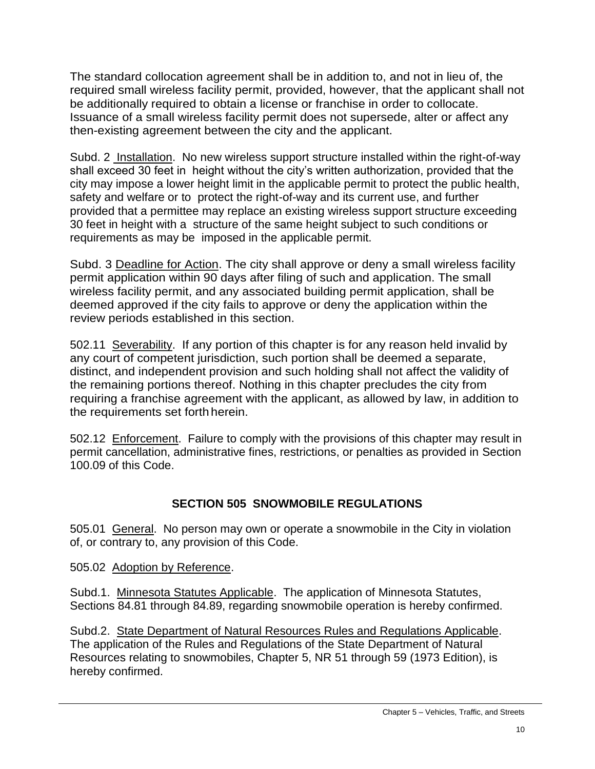The standard collocation agreement shall be in addition to, and not in lieu of, the required small wireless facility permit, provided, however, that the applicant shall not be additionally required to obtain a license or franchise in order to collocate. Issuance of a small wireless facility permit does not supersede, alter or affect any then-existing agreement between the city and the applicant.

Subd. 2 Installation. No new wireless support structure installed within the right-of-way shall exceed 30 feet in height without the city's written authorization, provided that the city may impose a lower height limit in the applicable permit to protect the public health, safety and welfare or to protect the right-of-way and its current use, and further provided that a permittee may replace an existing wireless support structure exceeding 30 feet in height with a structure of the same height subject to such conditions or requirements as may be imposed in the applicable permit.

Subd. 3 Deadline for Action. The city shall approve or deny a small wireless facility permit application within 90 days after filing of such and application. The small wireless facility permit, and any associated building permit application, shall be deemed approved if the city fails to approve or deny the application within the review periods established in this section.

502.11 Severability. If any portion of this chapter is for any reason held invalid by any court of competent jurisdiction, such portion shall be deemed a separate, distinct, and independent provision and such holding shall not affect the validity of the remaining portions thereof. Nothing in this chapter precludes the city from requiring a franchise agreement with the applicant, as allowed by law, in addition to the requirements set forth herein.

502.12 Enforcement. Failure to comply with the provisions of this chapter may result in permit cancellation, administrative fines, restrictions, or penalties as provided in Section 100.09 of this Code.

# **SECTION 505 SNOWMOBILE REGULATIONS**

505.01 General. No person may own or operate a snowmobile in the City in violation of, or contrary to, any provision of this Code.

505.02 Adoption by Reference.

Subd.1. Minnesota Statutes Applicable. The application of Minnesota Statutes, Sections 84.81 through 84.89, regarding snowmobile operation is hereby confirmed.

Subd.2. State Department of Natural Resources Rules and Regulations Applicable. The application of the Rules and Regulations of the State Department of Natural Resources relating to snowmobiles, Chapter 5, NR 51 through 59 (1973 Edition), is hereby confirmed.